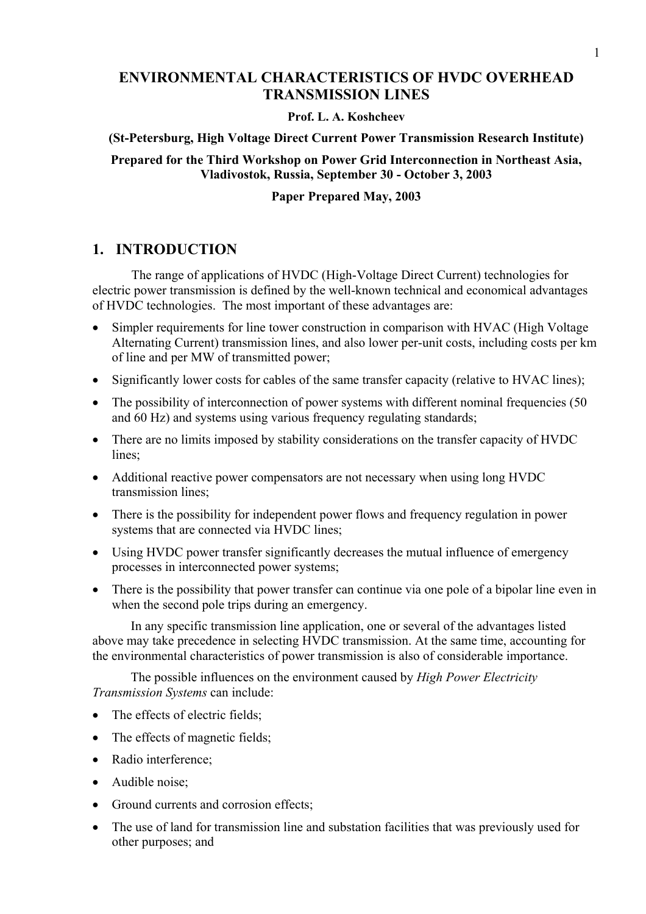# **ENVIRONMENTAL CHARACTERISTICS OF HVDC OVERHEAD TRANSMISSION LINES**

## **Prof. L. A. Koshcheev**

### **(St-Petersburg, High Voltage Direct Current Power Transmission Research Institute)**

## **Prepared for the Third Workshop on Power Grid Interconnection in Northeast Asia, Vladivostok, Russia, September 30 - October 3, 2003**

### **Paper Prepared May, 2003**

# **1. INTRODUCTION**

The range of applications of HVDC (High-Voltage Direct Current) technologies for electric power transmission is defined by the well-known technical and economical advantages of HVDC technologies. The most important of these advantages are:

- Simpler requirements for line tower construction in comparison with HVAC (High Voltage Alternating Current) transmission lines, and also lower per-unit costs, including costs per km of line and per MW of transmitted power;
- Significantly lower costs for cables of the same transfer capacity (relative to HVAC lines);
- The possibility of interconnection of power systems with different nominal frequencies (50 and 60 Hz) and systems using various frequency regulating standards;
- There are no limits imposed by stability considerations on the transfer capacity of HVDC lines;
- Additional reactive power compensators are not necessary when using long HVDC transmission lines;
- There is the possibility for independent power flows and frequency regulation in power systems that are connected via HVDC lines;
- Using HVDC power transfer significantly decreases the mutual influence of emergency processes in interconnected power systems;
- There is the possibility that power transfer can continue via one pole of a bipolar line even in when the second pole trips during an emergency.

In any specific transmission line application, one or several of the advantages listed above may take precedence in selecting HVDC transmission. At the same time, accounting for the environmental characteristics of power transmission is also of considerable importance.

The possible influences on the environment caused by *High Power Electricity Transmission Systems* can include:

- The effects of electric fields;
- The effects of magnetic fields;
- Radio interference;
- Audible noise:
- Ground currents and corrosion effects:
- The use of land for transmission line and substation facilities that was previously used for other purposes; and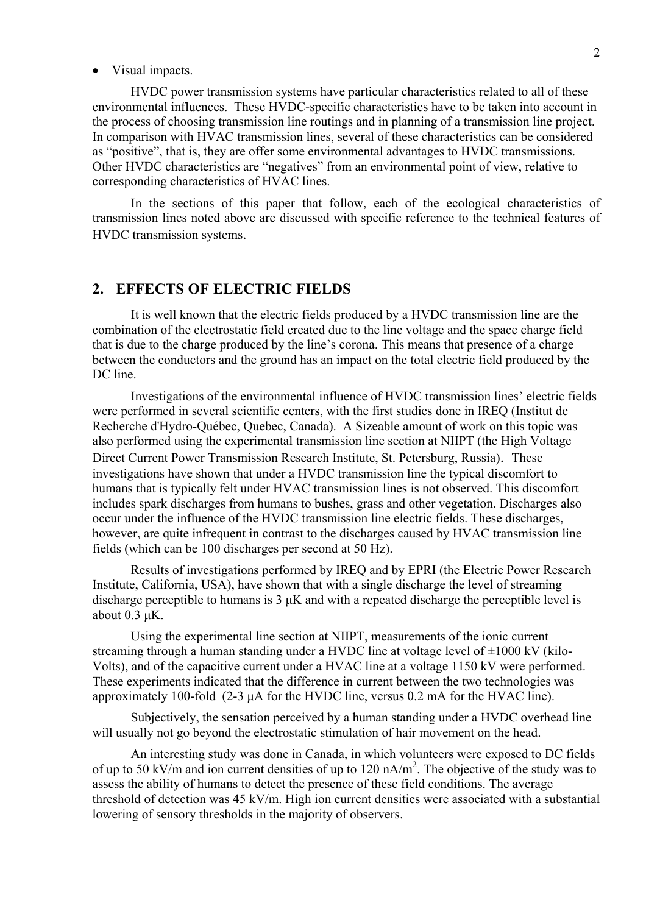#### • Visual impacts.

HVDC power transmission systems have particular characteristics related to all of these environmental influences. These HVDC-specific characteristics have to be taken into account in the process of choosing transmission line routings and in planning of a transmission line project. In comparison with HVAC transmission lines, several of these characteristics can be considered as "positive", that is, they are offer some environmental advantages to HVDC transmissions. Other HVDC characteristics are "negatives" from an environmental point of view, relative to corresponding characteristics of HVAC lines.

In the sections of this paper that follow, each of the ecological characteristics of transmission lines noted above are discussed with specific reference to the technical features of HVDC transmission systems.

## **2. EFFECTS OF ELECTRIC FIELDS**

It is well known that the electric fields produced by a HVDC transmission line are the combination of the electrostatic field created due to the line voltage and the space charge field that is due to the charge produced by the line's corona. This means that presence of a charge between the conductors and the ground has an impact on the total electric field produced by the DC line.

Investigations of the environmental influence of HVDC transmission lines' electric fields were performed in several scientific centers, with the first studies done in IREQ (Institut de Recherche d'Hydro-Québec, Quebec, Canada). A Sizeable amount of work on this topic was also performed using the experimental transmission line section at NIIPT (the High Voltage Direct Current Power Transmission Research Institute, St. Petersburg, Russia). These investigations have shown that under a HVDC transmission line the typical discomfort to humans that is typically felt under HVAC transmission lines is not observed. This discomfort includes spark discharges from humans to bushes, grass and other vegetation. Discharges also occur under the influence of the HVDC transmission line electric fields. These discharges, however, are quite infrequent in contrast to the discharges caused by HVAC transmission line fields (which can be 100 discharges per second at 50 Hz).

Results of investigations performed by IREQ and by EPRI (the Electric Power Research Institute, California, USA), have shown that with a single discharge the level of streaming discharge perceptible to humans is  $3 \mu K$  and with a repeated discharge the perceptible level is about  $0.3$   $\mu$ K.

Using the experimental line section at NIIPT, measurements of the ionic current streaming through a human standing under a HVDC line at voltage level of  $\pm 1000 \text{ kV}$  (kilo-Volts), and of the capacitive current under a HVAC line at a voltage 1150 kV were performed. These experiments indicated that the difference in current between the two technologies was approximately 100-fold  $(2-3 \mu A)$  for the HVDC line, versus 0.2 mA for the HVAC line).

Subjectively, the sensation perceived by a human standing under a HVDC overhead line will usually not go beyond the electrostatic stimulation of hair movement on the head.

An interesting study was done in Canada, in which volunteers were exposed to DC fields of up to 50 kV/m and ion current densities of up to 120 nA/m<sup>2</sup>. The objective of the study was to assess the ability of humans to detect the presence of these field conditions. The average threshold of detection was 45 kV/m. High ion current densities were associated with a substantial lowering of sensory thresholds in the majority of observers.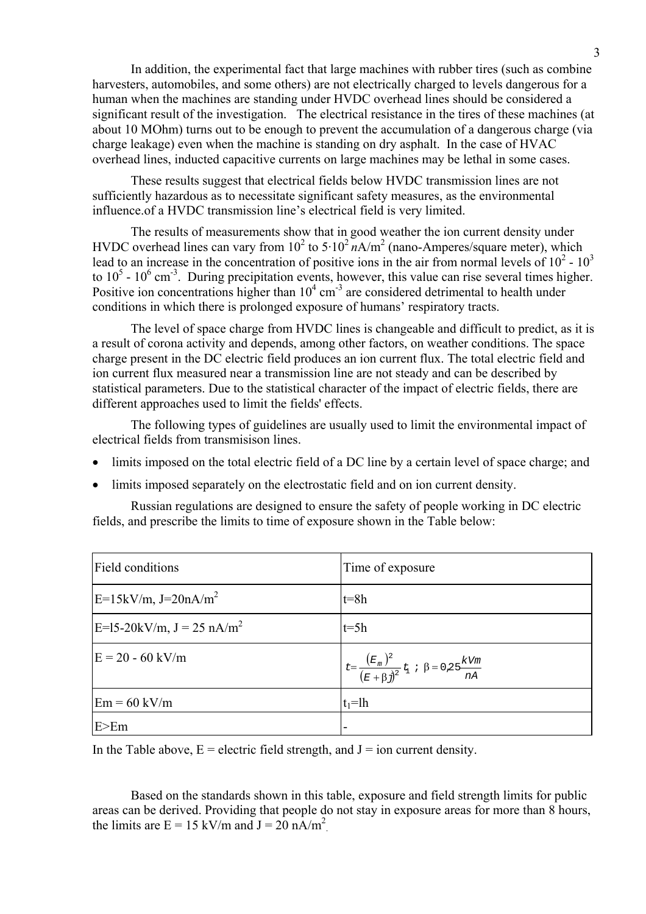In addition, the experimental fact that large machines with rubber tires (such as combine harvesters, automobiles, and some others) are not electrically charged to levels dangerous for a human when the machines are standing under HVDC overhead lines should be considered a significant result of the investigation. The electrical resistance in the tires of these machines (at about 10 MOhm) turns out to be enough to prevent the accumulation of a dangerous charge (via charge leakage) even when the machine is standing on dry asphalt. In the case of HVAC overhead lines, inducted capacitive currents on large machines may be lethal in some cases.

These results suggest that electrical fields below HVDC transmission lines are not sufficiently hazardous as to necessitate significant safety measures, as the environmental influence.of a HVDC transmission line's electrical field is very limited.

The results of measurements show that in good weather the ion current density under HVDC overhead lines can vary from  $10^2$  to  $5.10^2$   $nA/m^2$  (nano-Amperes/square meter), which lead to an increase in the concentration of positive ions in the air from normal levels of  $10^2$  -  $10^3$ to  $10^5$  -  $10^6$  cm<sup>-3</sup>. During precipitation events, however, this value can rise several times higher. Positive ion concentrations higher than  $10^4$  cm<sup>-3</sup> are considered detrimental to health under conditions in which there is prolonged exposure of humans' respiratory tracts.

The level of space charge from HVDC lines is changeable and difficult to predict, as it is a result of corona activity and depends, among other factors, on weather conditions. The space charge present in the DC electric field produces an ion current flux. The total electric field and ion current flux measured near a transmission line are not steady and can be described by statistical parameters. Due to the statistical character of the impact of electric fields, there are different approaches used to limit the fields' effects.

The following types of guidelines are usually used to limit the environmental impact of electrical fields from transmisison lines.

- limits imposed on the total electric field of a DC line by a certain level of space charge; and
- limits imposed separately on the electrostatic field and on ion current density.

Russian regulations are designed to ensure the safety of people working in DC electric fields, and prescribe the limits to time of exposure shown in the Table below:

| Field conditions                   | Time of exposure |
|------------------------------------|------------------|
| $E=15kV/m$ , J=20nA/m <sup>2</sup> | $t = 8h$         |
| $E=15-20kV/m$ , $J = 25 nA/m2$     | $t=5h$           |
| $E = 20 - 60$ kV/m                 |                  |
| $Em = 60$ kV/m                     | $t_1=lh$         |
| E>Em                               |                  |

In the Table above,  $E =$  electric field strength, and  $J =$  ion current density.

Based on the standards shown in this table, exposure and field strength limits for public areas can be derived. Providing that people do not stay in exposure areas for more than 8 hours, the limits are  $E = 15 \text{ kV/m}$  and  $J = 20 \text{ nA/m}^2$ .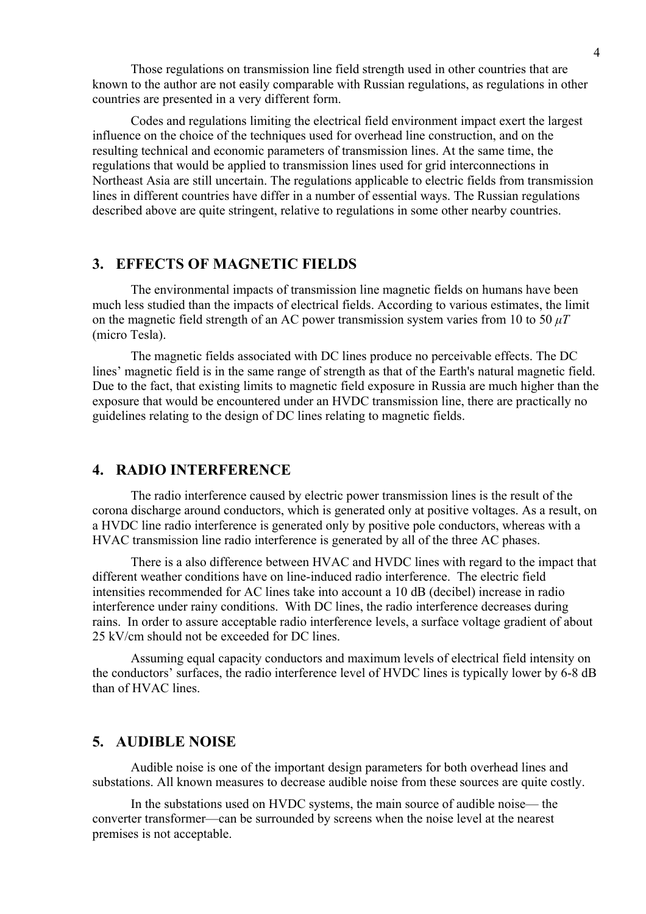Those regulations on transmission line field strength used in other countries that are known to the author are not easily comparable with Russian regulations, as regulations in other countries are presented in a very different form.

Codes and regulations limiting the electrical field environment impact exert the largest influence on the choice of the techniques used for overhead line construction, and on the resulting technical and economic parameters of transmission lines. At the same time, the regulations that would be applied to transmission lines used for grid interconnections in Northeast Asia are still uncertain. The regulations applicable to electric fields from transmission lines in different countries have differ in a number of essential ways. The Russian regulations described above are quite stringent, relative to regulations in some other nearby countries.

# **3. EFFECTS OF MAGNETIC FIELDS**

The environmental impacts of transmission line magnetic fields on humans have been much less studied than the impacts of electrical fields. According to various estimates, the limit on the magnetic field strength of an AC power transmission system varies from 10 to 50  $\mu$ *T* (micro Tesla).

The magnetic fields associated with DC lines produce no perceivable effects. The DC lines' magnetic field is in the same range of strength as that of the Earth's natural magnetic field. Due to the fact, that existing limits to magnetic field exposure in Russia are much higher than the exposure that would be encountered under an HVDC transmission line, there are practically no guidelines relating to the design of DC lines relating to magnetic fields.

# **4. RADIO INTERFERENCE**

The radio interference caused by electric power transmission lines is the result of the corona discharge around conductors, which is generated only at positive voltages. As a result, on a HVDC line radio interference is generated only by positive pole conductors, whereas with a HVAC transmission line radio interference is generated by all of the three AC phases.

There is a also difference between HVAC and HVDC lines with regard to the impact that different weather conditions have on line-induced radio interference. The electric field intensities recommended for AC lines take into account a 10 dB (decibel) increase in radio interference under rainy conditions. With DC lines, the radio interference decreases during rains. In order to assure acceptable radio interference levels, a surface voltage gradient of about 25 kV/cm should not be exceeded for DC lines.

Assuming equal capacity conductors and maximum levels of electrical field intensity on the conductors' surfaces, the radio interference level of HVDC lines is typically lower by 6-8 dB than of HVAC lines.

#### **5. AUDIBLE NOISE**

Audible noise is one of the important design parameters for both overhead lines and substations. All known measures to decrease audible noise from these sources are quite costly.

In the substations used on HVDC systems, the main source of audible noise— the converter transformer—can be surrounded by screens when the noise level at the nearest premises is not acceptable.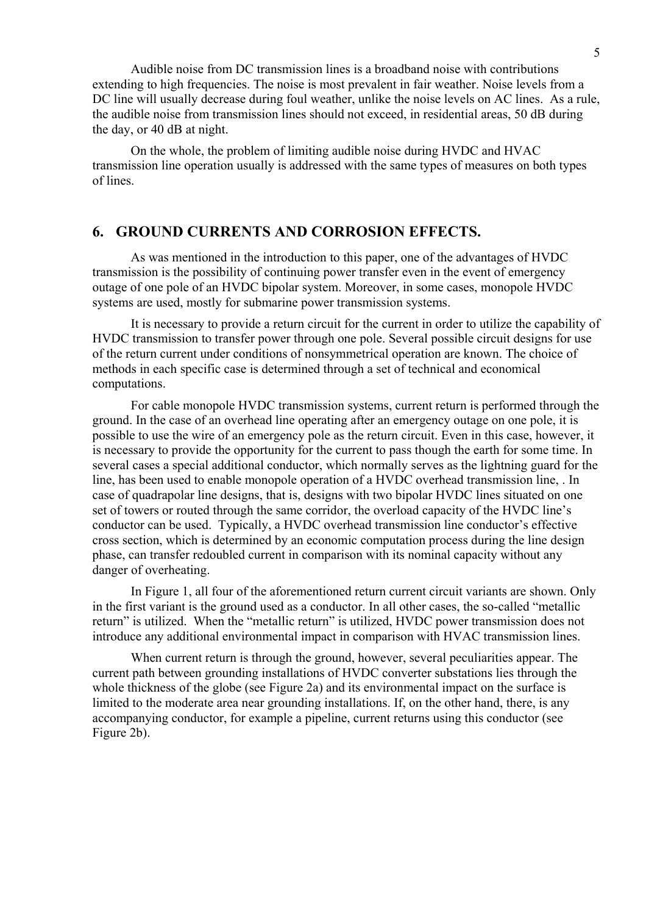Audible noise from DC transmission lines is a broadband noise with contributions extending to high frequencies. The noise is most prevalent in fair weather. Noise levels from a DC line will usually decrease during foul weather, unlike the noise levels on AC lines. As a rule, the audible noise from transmission lines should not exceed, in residential areas, 50 dB during the day, or 40 dB at night.

On the whole, the problem of limiting audible noise during HVDC and HVAC transmission line operation usually is addressed with the same types of measures on both types of lines.

# **6. GROUND CURRENTS AND CORROSION EFFECTS.**

As was mentioned in the introduction to this paper, one of the advantages of HVDC transmission is the possibility of continuing power transfer even in the event of emergency outage of one pole of an HVDC bipolar system. Moreover, in some cases, monopole HVDC systems are used, mostly for submarine power transmission systems.

It is necessary to provide a return circuit for the current in order to utilize the capability of HVDC transmission to transfer power through one pole. Several possible circuit designs for use of the return current under conditions of nonsymmetrical operation are known. The choice of methods in each specific case is determined through a set of technical and economical computations.

For cable monopole HVDC transmission systems, current return is performed through the ground. In the case of an overhead line operating after an emergency outage on one pole, it is possible to use the wire of an emergency pole as the return circuit. Even in this case, however, it is necessary to provide the opportunity for the current to pass though the earth for some time. In several cases a special additional conductor, which normally serves as the lightning guard for the line, has been used to enable monopole operation of a HVDC overhead transmission line, . In case of quadrapolar line designs, that is, designs with two bipolar HVDC lines situated on one set of towers or routed through the same corridor, the overload capacity of the HVDC line's conductor can be used. Typically, a HVDC overhead transmission line conductor's effective cross section, which is determined by an economic computation process during the line design phase, can transfer redoubled current in comparison with its nominal capacity without any danger of overheating.

 In Figure 1, all four of the aforementioned return current circuit variants are shown. Only in the first variant is the ground used as a conductor. In all other cases, the so-called "metallic return" is utilized. When the "metallic return" is utilized, HVDC power transmission does not introduce any additional environmental impact in comparison with HVAC transmission lines.

When current return is through the ground, however, several peculiarities appear. The current path between grounding installations of HVDC converter substations lies through the whole thickness of the globe (see Figure 2a) and its environmental impact on the surface is limited to the moderate area near grounding installations. If, on the other hand, there, is any accompanying conductor, for example a pipeline, current returns using this conductor (see Figure 2b).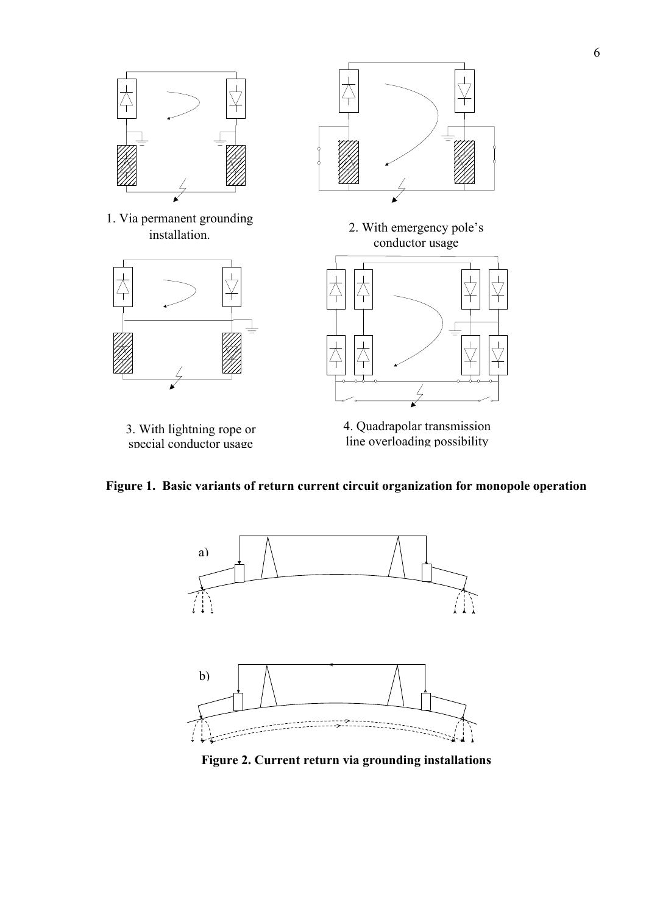

**Figure 1. Basic variants of return current circuit organization for monopole operation** 



**Figure 2. Current return via grounding installations**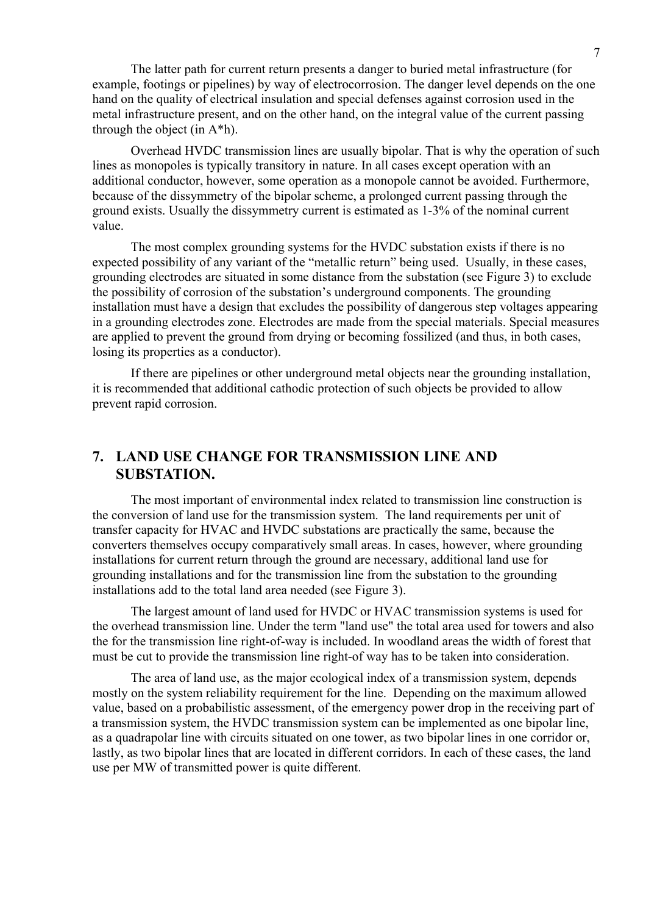The latter path for current return presents a danger to buried metal infrastructure (for example, footings or pipelines) by way of electrocorrosion. The danger level depends on the one hand on the quality of electrical insulation and special defenses against corrosion used in the metal infrastructure present, and on the other hand, on the integral value of the current passing through the object (in  $A^*h$ ).

Overhead HVDC transmission lines are usually bipolar. That is why the operation of such lines as monopoles is typically transitory in nature. In all cases except operation with an additional conductor, however, some operation as a monopole cannot be avoided. Furthermore, because of the dissymmetry of the bipolar scheme, a prolonged current passing through the ground exists. Usually the dissymmetry current is estimated as 1-3% of the nominal current value.

The most complex grounding systems for the HVDC substation exists if there is no expected possibility of any variant of the "metallic return" being used. Usually, in these cases, grounding electrodes are situated in some distance from the substation (see Figure 3) to exclude the possibility of corrosion of the substation's underground components. The grounding installation must have a design that excludes the possibility of dangerous step voltages appearing in a grounding electrodes zone. Electrodes are made from the special materials. Special measures are applied to prevent the ground from drying or becoming fossilized (and thus, in both cases, losing its properties as a conductor).

If there are pipelines or other underground metal objects near the grounding installation, it is recommended that additional cathodic protection of such objects be provided to allow prevent rapid corrosion.

# **7. LAND USE CHANGE FOR TRANSMISSION LINE AND SUBSTATION.**

The most important of environmental index related to transmission line construction is the conversion of land use for the transmission system. The land requirements per unit of transfer capacity for HVAC and HVDC substations are practically the same, because the converters themselves occupy comparatively small areas. In cases, however, where grounding installations for current return through the ground are necessary, additional land use for grounding installations and for the transmission line from the substation to the grounding installations add to the total land area needed (see Figure 3).

The largest amount of land used for HVDC or HVAC transmission systems is used for the overhead transmission line. Under the term "land use" the total area used for towers and also the for the transmission line right-of-way is included. In woodland areas the width of forest that must be cut to provide the transmission line right-of way has to be taken into consideration.

The area of land use, as the major ecological index of a transmission system, depends mostly on the system reliability requirement for the line. Depending on the maximum allowed value, based on a probabilistic assessment, of the emergency power drop in the receiving part of a transmission system, the HVDC transmission system can be implemented as one bipolar line, as a quadrapolar line with circuits situated on one tower, as two bipolar lines in one corridor or, lastly, as two bipolar lines that are located in different corridors. In each of these cases, the land use per MW of transmitted power is quite different.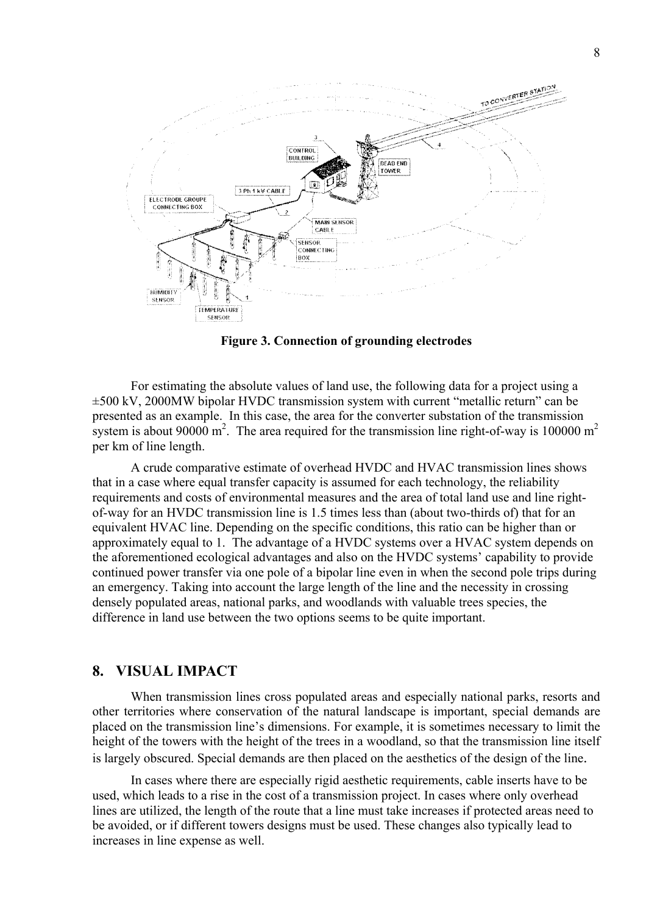

**Figure 3. Connection of grounding electrodes** 

For estimating the absolute values of land use, the following data for a project using a ±500 kV, 2000MW bipolar HVDC transmission system with current "metallic return" can be presented as an example. In this case, the area for the converter substation of the transmission system is about 90000  $m^2$ . The area required for the transmission line right-of-way is 100000  $m^2$ per km of line length.

A crude comparative estimate of overhead HVDC and HVAC transmission lines shows that in a case where equal transfer capacity is assumed for each technology, the reliability requirements and costs of environmental measures and the area of total land use and line rightof-way for an HVDC transmission line is 1.5 times less than (about two-thirds of) that for an equivalent HVAC line. Depending on the specific conditions, this ratio can be higher than or approximately equal to 1. The advantage of a HVDC systems over a HVAC system depends on the aforementioned ecological advantages and also on the HVDC systems' capability to provide continued power transfer via one pole of a bipolar line even in when the second pole trips during an emergency. Taking into account the large length of the line and the necessity in crossing densely populated areas, national parks, and woodlands with valuable trees species, the difference in land use between the two options seems to be quite important.

# **8. VISUAL IMPACT**

When transmission lines cross populated areas and especially national parks, resorts and other territories where conservation of the natural landscape is important, special demands are placed on the transmission line's dimensions. For example, it is sometimes necessary to limit the height of the towers with the height of the trees in a woodland, so that the transmission line itself is largely obscured. Special demands are then placed on the aesthetics of the design of the line.

In cases where there are especially rigid aesthetic requirements, cable inserts have to be used, which leads to a rise in the cost of a transmission project. In cases where only overhead lines are utilized, the length of the route that a line must take increases if protected areas need to be avoided, or if different towers designs must be used. These changes also typically lead to increases in line expense as well.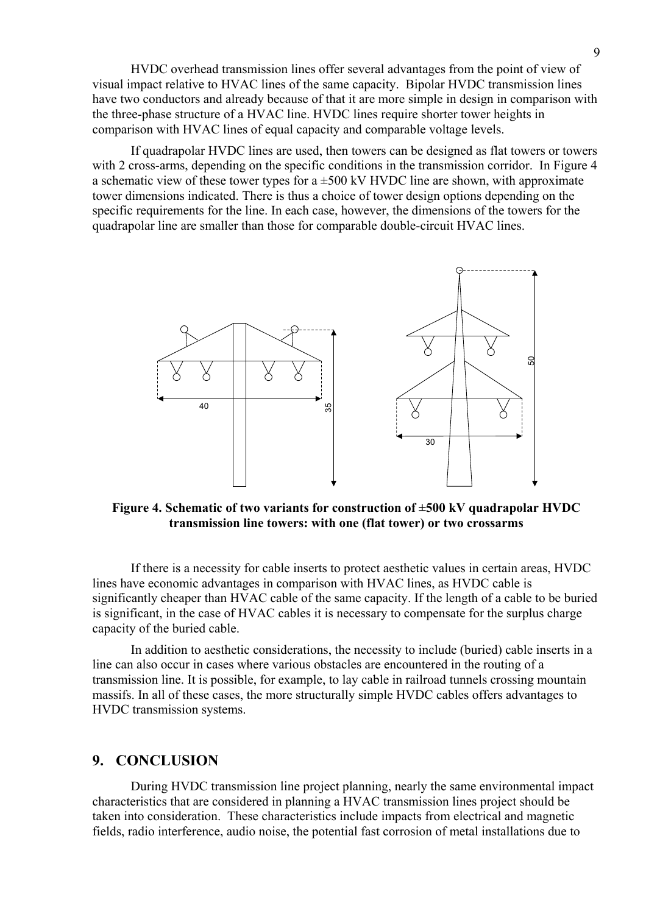HVDC overhead transmission lines offer several advantages from the point of view of visual impact relative to HVAC lines of the same capacity. Bipolar HVDC transmission lines have two conductors and already because of that it are more simple in design in comparison with the three-phase structure of a HVAC line. HVDC lines require shorter tower heights in comparison with HVAC lines of equal capacity and comparable voltage levels.

If quadrapolar HVDC lines are used, then towers can be designed as flat towers or towers with 2 cross-arms, depending on the specific conditions in the transmission corridor. In Figure 4 a schematic view of these tower types for a  $\pm 500$  kV HVDC line are shown, with approximate tower dimensions indicated. There is thus a choice of tower design options depending on the specific requirements for the line. In each case, however, the dimensions of the towers for the quadrapolar line are smaller than those for comparable double-circuit HVAC lines.



**Figure 4. Schematic of two variants for construction of ±500 kV quadrapolar HVDC transmission line towers: with one (flat tower) or two crossarms**

If there is a necessity for cable inserts to protect aesthetic values in certain areas, HVDC lines have economic advantages in comparison with HVAC lines, as HVDC cable is significantly cheaper than HVAC cable of the same capacity. If the length of a cable to be buried is significant, in the case of HVAC cables it is necessary to compensate for the surplus charge capacity of the buried cable.

In addition to aesthetic considerations, the necessity to include (buried) cable inserts in a line can also occur in cases where various obstacles are encountered in the routing of a transmission line. It is possible, for example, to lay cable in railroad tunnels crossing mountain massifs. In all of these cases, the more structurally simple HVDC cables offers advantages to HVDC transmission systems.

## **9. CONCLUSION**

During HVDC transmission line project planning, nearly the same environmental impact characteristics that are considered in planning a HVAC transmission lines project should be taken into consideration. These characteristics include impacts from electrical and magnetic fields, radio interference, audio noise, the potential fast corrosion of metal installations due to